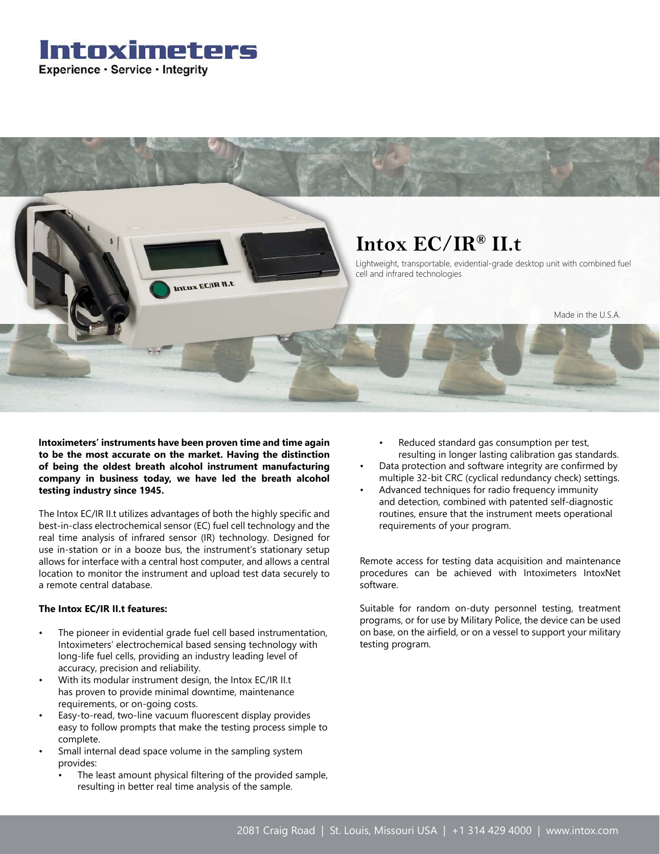### Intoximeters Experience · Service · Integrity



**Intoximeters' instruments have been proven time and time again to be the most accurate on the market. Having the distinction of being the oldest breath alcohol instrument manufacturing company in business today, we have led the breath alcohol testing industry since 1945.**

The Intox EC/IR II.t utilizes advantages of both the highly specific and best-in-class electrochemical sensor (EC) fuel cell technology and the real time analysis of infrared sensor (IR) technology. Designed for use in-station or in a booze bus, the instrument's stationary setup allows for interface with a central host computer, and allows a central location to monitor the instrument and upload test data securely to a remote central database.

#### **The Intox EC/IR II.t features:**

- The pioneer in evidential grade fuel cell based instrumentation, Intoximeters' electrochemical based sensing technology with long-life fuel cells, providing an industry leading level of accuracy, precision and reliability.
- With its modular instrument design, the Intox EC/IR II.t has proven to provide minimal downtime, maintenance requirements, or on-going costs.
- Easy-to-read, two-line vacuum fluorescent display provides easy to follow prompts that make the testing process simple to complete.
- Small internal dead space volume in the sampling system provides:
	- The least amount physical filtering of the provided sample, resulting in better real time analysis of the sample.
- Reduced standard gas consumption per test, resulting in longer lasting calibration gas standards.
- Data protection and software integrity are confirmed by multiple 32-bit CRC (cyclical redundancy check) settings.
- Advanced techniques for radio frequency immunity and detection, combined with patented self-diagnostic routines, ensure that the instrument meets operational requirements of your program.

Remote access for testing data acquisition and maintenance procedures can be achieved with Intoximeters IntoxNet software.

Suitable for random on-duty personnel testing, treatment programs, or for use by Military Police, the device can be used on base, on the airfield, or on a vessel to support your military testing program.